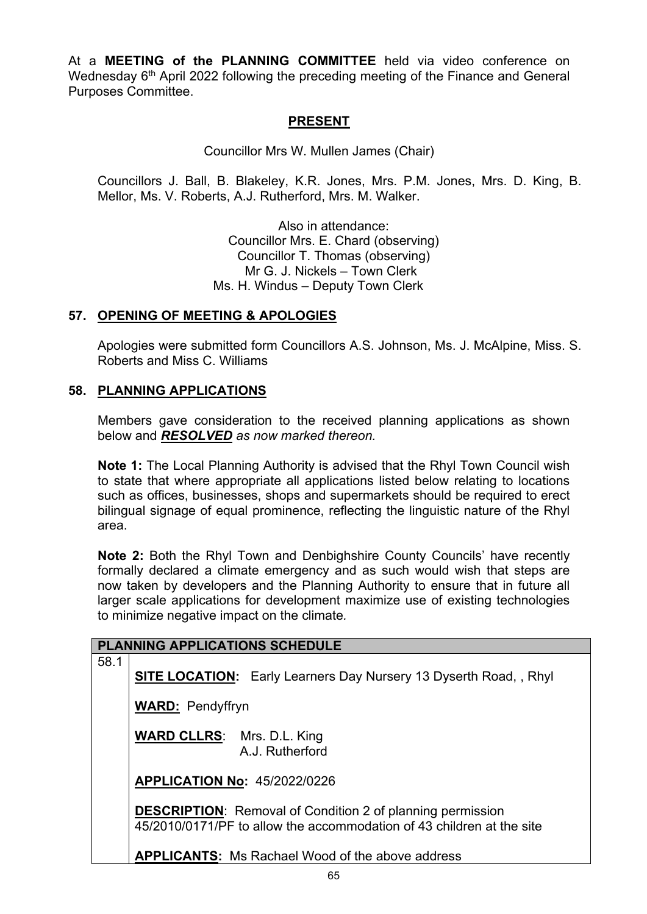At a **MEETING of the PLANNING COMMITTEE** held via video conference on Wednesday 6<sup>th</sup> April 2022 following the preceding meeting of the Finance and General Purposes Committee.

## **PRESENT**

Councillor Mrs W. Mullen James (Chair)

Councillors J. Ball, B. Blakeley, K.R. Jones, Mrs. P.M. Jones, Mrs. D. King, B. Mellor, Ms. V. Roberts, A.J. Rutherford, Mrs. M. Walker.

> Also in attendance: Councillor Mrs. E. Chard (observing) Councillor T. Thomas (observing) Mr G. J. Nickels – Town Clerk Ms. H. Windus – Deputy Town Clerk

## **57. OPENING OF MEETING & APOLOGIES**

Apologies were submitted form Councillors A.S. Johnson, Ms. J. McAlpine, Miss. S. Roberts and Miss C. Williams

## **58. PLANNING APPLICATIONS**

Members gave consideration to the received planning applications as shown below and *RESOLVED as now marked thereon.* 

**Note 1:** The Local Planning Authority is advised that the Rhyl Town Council wish to state that where appropriate all applications listed below relating to locations such as offices, businesses, shops and supermarkets should be required to erect bilingual signage of equal prominence, reflecting the linguistic nature of the Rhyl area.

**Note 2:** Both the Rhyl Town and Denbighshire County Councils' have recently formally declared a climate emergency and as such would wish that steps are now taken by developers and the Planning Authority to ensure that in future all larger scale applications for development maximize use of existing technologies to minimize negative impact on the climate*.*

| <b>PLANNING APPLICATIONS SCHEDULE</b> |                                                                                                                                            |                                                                          |  |  |
|---------------------------------------|--------------------------------------------------------------------------------------------------------------------------------------------|--------------------------------------------------------------------------|--|--|
| 58.1                                  |                                                                                                                                            | <b>SITE LOCATION:</b> Early Learners Day Nursery 13 Dyserth Road, , Rhyl |  |  |
|                                       | <b>WARD: Pendyffryn</b>                                                                                                                    |                                                                          |  |  |
|                                       | <b>WARD CLLRS:</b> Mrs. D.L. King                                                                                                          | A.J. Rutherford                                                          |  |  |
|                                       | <b>APPLICATION No: 45/2022/0226</b>                                                                                                        |                                                                          |  |  |
|                                       | <b>DESCRIPTION:</b> Removal of Condition 2 of planning permission<br>45/2010/0171/PF to allow the accommodation of 43 children at the site |                                                                          |  |  |
|                                       |                                                                                                                                            | <b>APPLICANTS:</b> Ms Rachael Wood of the above address                  |  |  |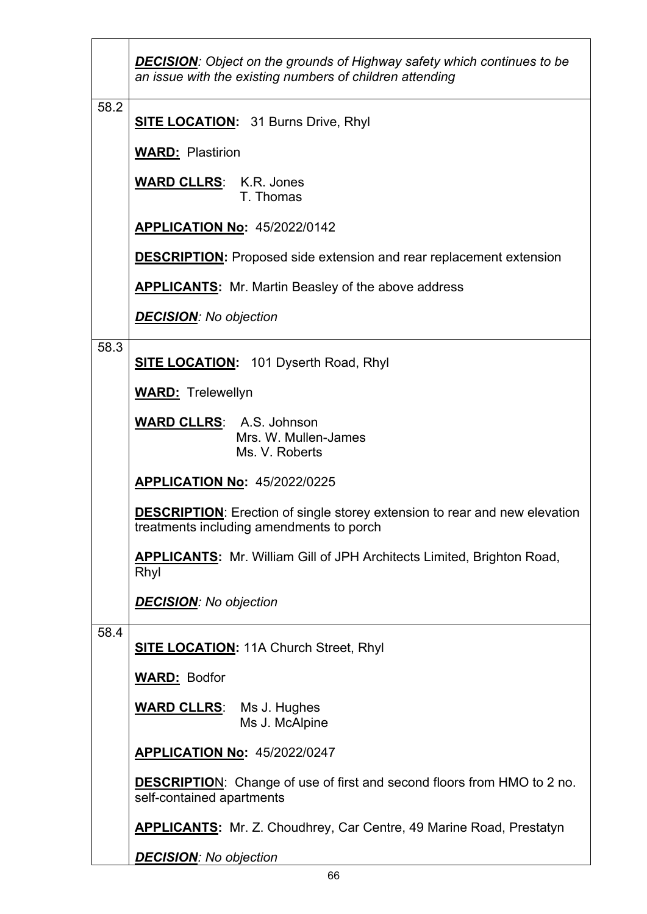|      | <b>DECISION:</b> Object on the grounds of Highway safety which continues to be<br>an issue with the existing numbers of children attending |  |  |
|------|--------------------------------------------------------------------------------------------------------------------------------------------|--|--|
| 58.2 | <b>SITE LOCATION:</b> 31 Burns Drive, Rhyl                                                                                                 |  |  |
|      | <b>WARD: Plastirion</b>                                                                                                                    |  |  |
|      | <b>WARD CLLRS: K.R. Jones</b><br>T. Thomas                                                                                                 |  |  |
|      | <b>APPLICATION No: 45/2022/0142</b>                                                                                                        |  |  |
|      | <b>DESCRIPTION:</b> Proposed side extension and rear replacement extension                                                                 |  |  |
|      | <b>APPLICANTS:</b> Mr. Martin Beasley of the above address                                                                                 |  |  |
|      | <b>DECISION:</b> No objection                                                                                                              |  |  |
| 58.3 | <b>SITE LOCATION:</b> 101 Dyserth Road, Rhyl                                                                                               |  |  |
|      | <b>WARD:</b> Trelewellyn                                                                                                                   |  |  |
|      | <b>WARD CLLRS: A.S. Johnson</b><br>Mrs. W. Mullen-James<br>Ms. V. Roberts                                                                  |  |  |
|      | <b>APPLICATION No: 45/2022/0225</b>                                                                                                        |  |  |
|      | <b>DESCRIPTION:</b> Erection of single storey extension to rear and new elevation<br>treatments including amendments to porch              |  |  |
|      | <b>APPLICANTS:</b> Mr. William Gill of JPH Architects Limited, Brighton Road,<br>Rhyl                                                      |  |  |
|      | <b>DECISION:</b> No objection                                                                                                              |  |  |
| 58.4 | <b>SITE LOCATION: 11A Church Street, Rhyl</b>                                                                                              |  |  |
|      | <b>WARD: Bodfor</b>                                                                                                                        |  |  |
|      | <b>WARD CLLRS:</b> Ms J. Hughes<br>Ms J. McAlpine                                                                                          |  |  |
|      | <b>APPLICATION No: 45/2022/0247</b>                                                                                                        |  |  |
|      | <b>DESCRIPTION:</b> Change of use of first and second floors from HMO to 2 no.<br>self-contained apartments                                |  |  |
|      | <b>APPLICANTS:</b> Mr. Z. Choudhrey, Car Centre, 49 Marine Road, Prestatyn                                                                 |  |  |
|      | <b>DECISION:</b> No objection                                                                                                              |  |  |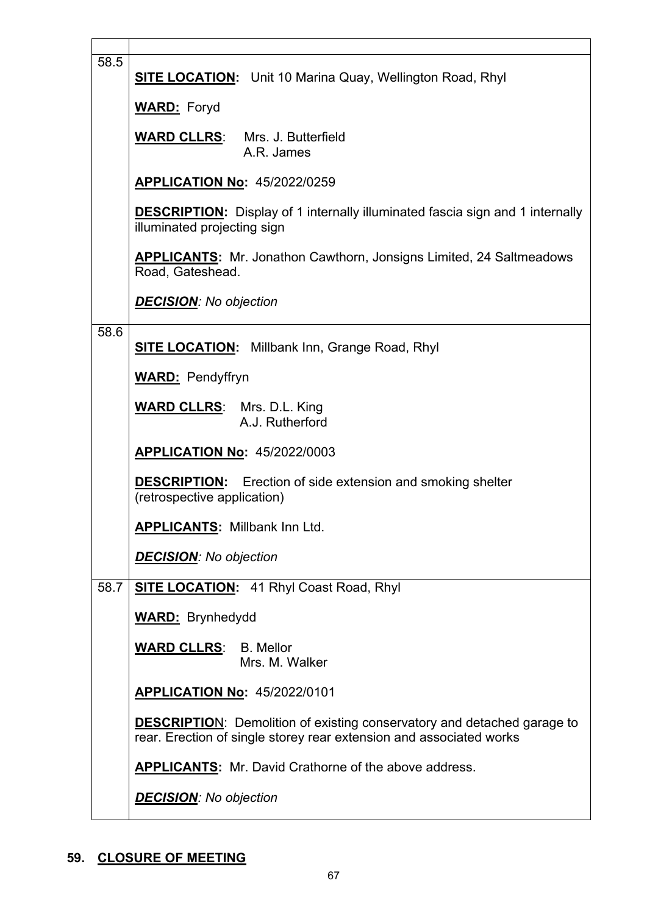| 58.5 | <b>SITE LOCATION:</b> Unit 10 Marina Quay, Wellington Road, Rhyl                                                                                      |  |  |
|------|-------------------------------------------------------------------------------------------------------------------------------------------------------|--|--|
|      | <b>WARD:</b> Foryd                                                                                                                                    |  |  |
|      | <b>WARD CLLRS:</b> Mrs. J. Butterfield<br>A.R. James                                                                                                  |  |  |
|      | <b>APPLICATION No: 45/2022/0259</b>                                                                                                                   |  |  |
|      | <b>DESCRIPTION:</b> Display of 1 internally illuminated fascia sign and 1 internally<br>illuminated projecting sign                                   |  |  |
|      | <b>APPLICANTS:</b> Mr. Jonathon Cawthorn, Jonsigns Limited, 24 Saltmeadows<br>Road, Gateshead.                                                        |  |  |
|      | <b>DECISION:</b> No objection                                                                                                                         |  |  |
| 58.6 | <b>SITE LOCATION:</b> Millbank Inn, Grange Road, Rhyl                                                                                                 |  |  |
|      | <b>WARD: Pendyffryn</b>                                                                                                                               |  |  |
|      | <b>WARD CLLRS:</b> Mrs. D.L. King<br>A.J. Rutherford                                                                                                  |  |  |
|      | <b>APPLICATION No: 45/2022/0003</b>                                                                                                                   |  |  |
|      | <b>DESCRIPTION:</b> Erection of side extension and smoking shelter<br>(retrospective application)                                                     |  |  |
|      | <b>APPLICANTS: Millbank Inn Ltd.</b>                                                                                                                  |  |  |
|      | <b>DECISION:</b> No objection                                                                                                                         |  |  |
| 58.7 | <b>SITE LOCATION:</b> 41 Rhyl Coast Road, Rhyl                                                                                                        |  |  |
|      | <b>WARD: Brynhedydd</b>                                                                                                                               |  |  |
|      | <b>WARD CLLRS:</b> B. Mellor<br>Mrs. M. Walker                                                                                                        |  |  |
|      | <b>APPLICATION No: 45/2022/0101</b>                                                                                                                   |  |  |
|      | <b>DESCRIPTION:</b> Demolition of existing conservatory and detached garage to<br>rear. Erection of single storey rear extension and associated works |  |  |
|      | <b>APPLICANTS:</b> Mr. David Crathorne of the above address.                                                                                          |  |  |
|      | <b>DECISION:</b> No objection                                                                                                                         |  |  |

## **59. CLOSURE OF MEETING**